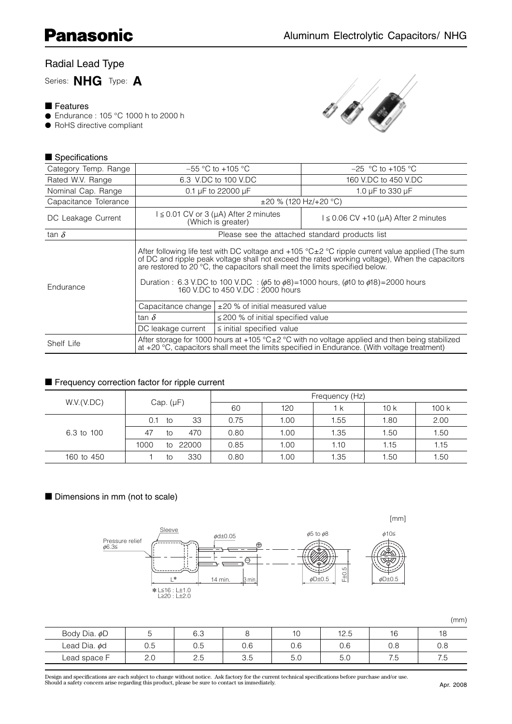# Radial Lead Type

Series: **NHG** Type: **A**

### ■ Features

- Endurance : 105 °C 1000 h to 2000 h
- RoHS directive compliant



## ■ Specifications

| Category Temp. Range  |                                                     | $-55$ °C to $+105$ °C                                                  | $-25$ °C to +105 °C                                                                                                                                                                                                                                                                                                                                                                                                                          |  |  |  |  |  |  |
|-----------------------|-----------------------------------------------------|------------------------------------------------------------------------|----------------------------------------------------------------------------------------------------------------------------------------------------------------------------------------------------------------------------------------------------------------------------------------------------------------------------------------------------------------------------------------------------------------------------------------------|--|--|--|--|--|--|
| Rated W.V. Range      |                                                     | 6.3 V.DC to 100 V.DC                                                   | 160 V.DC to 450 V.DC                                                                                                                                                                                                                                                                                                                                                                                                                         |  |  |  |  |  |  |
| Nominal Cap. Range    |                                                     | 0.1 $\mu$ F to 22000 $\mu$ F                                           | 1.0 µF to 330 µF                                                                                                                                                                                                                                                                                                                                                                                                                             |  |  |  |  |  |  |
| Capacitance Tolerance |                                                     | $\pm 20$ % (120 Hz/+20 °C)                                             |                                                                                                                                                                                                                                                                                                                                                                                                                                              |  |  |  |  |  |  |
| DC Leakage Current    |                                                     | $I \leq 0.01$ CV or 3 ( $\mu$ A) After 2 minutes<br>(Which is greater) | $l \leq 0.06$ CV +10 (µA) After 2 minutes                                                                                                                                                                                                                                                                                                                                                                                                    |  |  |  |  |  |  |
| tan $\delta$          | Please see the attached standard products list      |                                                                        |                                                                                                                                                                                                                                                                                                                                                                                                                                              |  |  |  |  |  |  |
| Endurance             |                                                     |                                                                        | After following life test with DC voltage and $+105$ °C $\pm$ 2 °C ripple current value applied (The sum<br>of DC and ripple peak voltage shall not exceed the rated working voltage), When the capacitors<br>are restored to 20 °C, the capacitors shall meet the limits specified below.<br>Duration : 6.3 V.DC to 100 V.DC : $(\phi 5$ to $\phi 8)$ = 1000 hours, $(\phi 10$ to $\phi 18)$ = 2000 hours 160 V.DC to 450 V.DC : 2000 hours |  |  |  |  |  |  |
|                       | Capacitance change                                  | L±20 % of initial measured value                                       |                                                                                                                                                                                                                                                                                                                                                                                                                                              |  |  |  |  |  |  |
|                       | tan $\delta$                                        | $\leq$ 200 % of initial specified value                                |                                                                                                                                                                                                                                                                                                                                                                                                                                              |  |  |  |  |  |  |
|                       | $\le$ initial specified value<br>DC leakage current |                                                                        |                                                                                                                                                                                                                                                                                                                                                                                                                                              |  |  |  |  |  |  |
| Shelf Life            |                                                     |                                                                        | After storage for 1000 hours at +105 $^{\circ}$ C $\pm$ 2 $^{\circ}$ C with no voltage applied and then being stabilized<br>at +20 °C, capacitors shall meet the limits specified in Endurance. (With voltage treatment)                                                                                                                                                                                                                     |  |  |  |  |  |  |

### ■ Frequency correction factor for ripple current

| W.V.(V.DC) | Cap. $(\mu F)$ |    |       | Frequency (Hz) |      |      |      |                                                      |  |  |  |
|------------|----------------|----|-------|----------------|------|------|------|------------------------------------------------------|--|--|--|
|            |                |    |       | 60             | 120  | 1 k  | 10k  | 100k<br>2.00<br>1.80<br>1.50<br>1.50<br>1.15<br>1.15 |  |  |  |
|            | 0.1            | to | 33    | 0.75           | 1.00 | 1.55 |      |                                                      |  |  |  |
| 6.3 to 100 | 47             | to | 470   | 0.80           | 1.00 | 1.35 |      |                                                      |  |  |  |
|            | 1000           | to | 22000 | 0.85           | 1.00 | 1.10 |      |                                                      |  |  |  |
| 160 to 450 |                | to | 330   | 0.80           | 1.00 | 1.35 | 1.50 | 1.50                                                 |  |  |  |

## ■ Dimensions in mm (not to scale)



(mm)

| Body Dia. øD       |                      | 6.3                     |                      | 10              | 12.5     | $\overline{\phantom{a}}$<br>ັ | 18           |
|--------------------|----------------------|-------------------------|----------------------|-----------------|----------|-------------------------------|--------------|
| Lead Dia. $\phi$ d | 0.5                  | $\overline{ }$<br>∪.∪   | $\cap$ $\cap$<br>U.b | 0.6             | 0.6      | v.o                           | 0.8          |
| ∟ead space F       | $\cap$ $\cap$<br>Z.U | $\cap$ $\Gamma$<br>ں .ے | $\sim$<br>, L<br>◡.◡ | $F \cap$<br>v.v | ь<br>U.U | <b>1</b><br>ں ،               | 7 F<br>ں ، ر |

Design and specifications are each subject to change without notice. Ask factory for the current technical specifications before purchase and/or use.<br>Should a safety concern arise regarding this product, please be sure to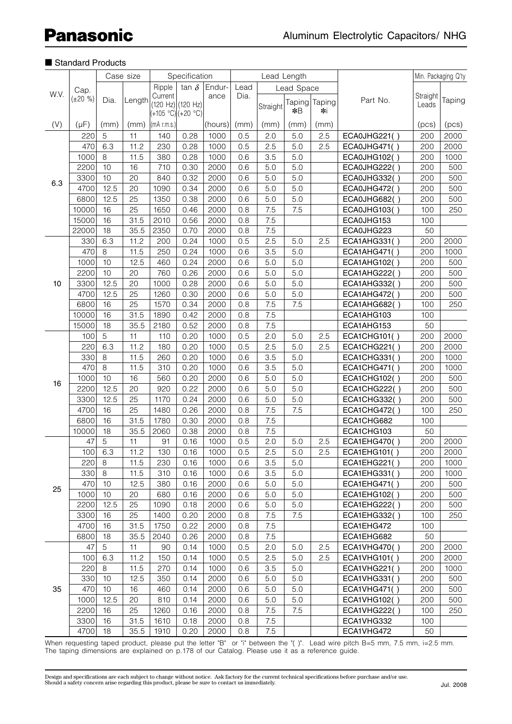|      | Case size            |      |        | Specification       |              |         |         | Lead Length |               |        |                     |          | Min. Packaging Q'ty |
|------|----------------------|------|--------|---------------------|--------------|---------|---------|-------------|---------------|--------|---------------------|----------|---------------------|
|      |                      |      |        | Ripple              | tan $\delta$ | Endur-  | Lead    |             | Lead Space    |        |                     |          |                     |
| W.V. | Cap.<br>$(\pm 20\%)$ |      |        | Current             |              | ance    | Dia.    |             |               |        |                     | Straight |                     |
|      |                      | Dia. | Length | $(120 Hz)$ (120 Hz) |              |         |         | Straight    | <b>Taping</b> | Taping | Part No.            | Leads    | Taping              |
|      |                      |      |        | (+105 °C) (+20 °C)  |              |         |         |             | $*B$          | ∗i     |                     |          |                     |
| (V)  | $(\mu F)$            | (mm) | (mm)   | $(mA$ r.m.s.)       |              | (hours) | (mm)    | (mm)        | (mm)          | (mm)   |                     | (pcs)    | (pcs)               |
|      | 220                  | 5    | 11     | 140                 | 0.28         | 1000    | 0.5     | 2.0         | 5.0           | 2.5    | ECA0JHG221()        | 200      | 2000                |
|      | 470                  | 6.3  | 11.2   | 230                 | 0.28         | 1000    | 0.5     | 2.5         | 5.0           | 2.5    | ECA0JHG471()        | 200      | 2000                |
|      | 1000                 | 8    | 11.5   | 380                 | 0.28         | 1000    | 0.6     | 3.5         | 5.0           |        | ECA0JHG102()        | 200      | 1000                |
|      | 2200                 | 10   | 16     | 710                 | 0.30         | 2000    | 0.6     | 5.0         | 5.0           |        | <b>ECA0JHG222()</b> | 200      | 500                 |
| 6.3  | 3300                 | 10   | 20     | 840                 | 0.32         | 2000    | 0.6     | 5.0         | 5.0           |        | ECA0JHG332()        | 200      | 500                 |
|      | 4700                 | 12.5 | 20     | 1090                | 0.34         | 2000    | 0.6     | 5.0         | 5.0           |        | ECA0JHG472()        | 200      | 500                 |
|      | 6800                 | 12.5 | 25     | 1350                | 0.38         | 2000    | 0.6     | 5.0         | 5.0           |        | <b>ECA0JHG682()</b> | 200      | 500                 |
|      | 10000                | 16   | 25     | 1650                | 0.46         | 2000    | 0.8     | 7.5         | 7.5           |        | <b>ECA0JHG103()</b> | 100      | 250                 |
|      | 15000                | 16   | 31.5   | 2010                | 0.56         | 2000    | 0.8     | 7.5         |               |        | ECA0JHG153          | 100      |                     |
|      | 22000                | 18   | 35.5   | 2350                | 0.70         | 2000    | 0.8     | 7.5         |               |        | ECA0JHG223          | 50       |                     |
|      | 330                  | 6.3  | 11.2   | 200                 | 0.24         | 1000    | 0.5     | 2.5         | 5.0           | 2.5    | ECA1AHG331()        | 200      | 2000                |
|      | 470                  | 8    | 11.5   | 250                 | 0.24         | 1000    | 0.6     | 3.5         | 5.0           |        | ECA1AHG471()        | 200      | 1000                |
|      | 1000                 | 10   | 12.5   | 460                 | 0.24         | 2000    | 0.6     | 5.0         | 5.0           |        | ECA1AHG102()        | 200      | 500                 |
|      | 2200                 | 10   | 20     | 760                 | 0.26         | 2000    | 0.6     | 5.0         | 5.0           |        | ECA1AHG222()        | 200      | 500                 |
| 10   | 3300                 | 12.5 | 20     | 1000                | 0.28         | 2000    | 0.6     | 5.0         | 5.0           |        | ECA1AHG332()        | 200      | 500                 |
|      | 4700                 | 12.5 | 25     | 1260                | 0.30         | 2000    | 0.6     | 5.0         | 5.0           |        | ECA1AHG472()        | 200      | 500                 |
|      | 6800                 | 16   | 25     | 1570                | 0.34         | 2000    | 0.8     | 7.5         | 7.5           |        | ECA1AHG682()        | 100      | 250                 |
|      | 10000                | 16   | 31.5   | 1890                | 0.42         | 2000    | 0.8     | 7.5         |               |        | ECA1AHG103          | 100      |                     |
|      | 15000                | 18   | 35.5   | 2180                | 0.52         | 2000    | 0.8     | 7.5         |               |        | ECA1AHG153          | 50       |                     |
|      | 100                  | 5    | 11     | 110                 | 0.20         | 1000    | 0.5     | 2.0         | 5.0           | 2.5    | <b>ECA1CHG101()</b> | 200      | 2000                |
|      | 220                  | 6.3  | 11.2   | 180                 | 0.20         | 1000    | 0.5     | 2.5         | 5.0           | 2.5    | ECA1CHG221()        | 200      | 2000                |
|      | 330                  | 8    | 11.5   | 260                 | 0.20         | 1000    | 0.6     | 3.5         | 5.0           |        | ECA1CHG331()        | 200      | 1000                |
|      | 470                  | 8    | 11.5   | 310                 | 0.20         | 1000    | 0.6     | 3.5         | 5.0           |        | <b>ECA1CHG471()</b> | 200      | 1000                |
|      | 1000                 | 10   | 16     | 560                 | 0.20         | 2000    | 0.6     | 5.0         | 5.0           |        | ECA1CHG102()        | 200      | 500                 |
| 16   | 2200                 | 12.5 | 20     | 920                 | 0.22         | 2000    | 0.6     | 5.0         | 5.0           |        | <b>ECA1CHG222()</b> | 200      | 500                 |
|      | 3300                 | 12.5 | 25     | 1170                | 0.24         | 2000    | 0.6     | 5.0         | 5.0           |        | ECA1CHG332()        | 200      | 500                 |
|      | 4700                 | 16   | 25     | 1480                | 0.26         | 2000    | 0.8     | 7.5         | 7.5           |        | <b>ECA1CHG472()</b> | 100      | 250                 |
|      | 6800                 | 16   | 31.5   | 1780                | 0.30         | 2000    | 0.8     | 7.5         |               |        | ECA1CHG682          | 100      |                     |
|      | 10000                | 18   | 35.5   | 2060                | 0.38         | 2000    | 0.8     | 7.5         |               |        | ECA1CHG103          | 50       |                     |
|      | 47                   | 5    | 11     | 91                  | 0.16         | 1000    | 0.5     | 2.0         | 5.0           | 2.5    | ECA1EHG470()        | 200      | 2000                |
|      | 100                  | 6.3  | 11.2   | 130                 | 0.16         | 1000    | 0.5     | 2.5         | 5.0           | 2.5    |                     | 200      | 2000                |
|      |                      |      |        |                     |              |         |         |             |               |        | ECA1EHG101()        |          |                     |
|      | 220                  | 8    | 11.5   | 230                 | 0.16         | 1000    | 0.6     | 3.5         | 5.0           |        | ECA1EHG221()        | 200      | 1000                |
|      | 330                  | 8    | 11.5   | 310                 | 0.16         | 1000    | 0.6     | 3.5         | 5.0           |        | ECA1EHG331()        | 200      | 1000                |
| 25   | 470                  | 10   | 12.5   | 380                 | 0.16         | 2000    | 0.6     | 5.0         | 5.0           |        | ECA1EHG471()        | 200      | 500                 |
|      | 1000                 | 10   | 20     | 680                 | 0.16         | 2000    | 0.6     | 5.0         | 5.0           |        | ECA1EHG102()        | 200      | 500                 |
|      | 2200                 | 12.5 | 25     | 1090                | 0.18         | 2000    | 0.6     | 5.0         | 5.0           |        | ECA1EHG222()        | 200      | 500                 |
|      | 3300                 | 16   | 25     | 1400                | 0.20         | 2000    | 0.8     | 7.5         | 7.5           |        | <b>ECA1EHG332()</b> | 100      | 250                 |
|      | 4700                 | 16   | 31.5   | 1750                | 0.22         | 2000    | 0.8     | 7.5         |               |        | ECA1EHG472          | 100      |                     |
|      | 6800                 | 18   | 35.5   | 2040                | 0.26         | 2000    | 0.8     | 7.5         |               |        | ECA1EHG682          | 50       |                     |
|      | 47                   | 5    | 11     | 90                  | 0.14         | 1000    | 0.5     | 2.0         | 5.0           | 2.5    | ECA1VHG470()        | 200      | 2000                |
|      | 100                  | 6.3  | 11.2   | 150                 | 0.14         | 1000    | 0.5     | 2.5         | 5.0           | 2.5    | ECA1VHG101()        | 200      | 2000                |
|      | 220                  | 8    | 11.5   | 270                 | 0.14         | 1000    | 0.6     | 3.5         | 5.0           |        | ECA1VHG221()        | 200      | 1000                |
|      | 330                  | 10   | 12.5   | 350                 | 0.14         | 2000    | 0.6     | 5.0         | 5.0           |        | ECA1VHG331()        | 200      | 500                 |
| 35   | 470                  | 10   | 16     | 460                 | 0.14         | 2000    | 0.6     | 5.0         | 5.0           |        | ECA1VHG471()        | 200      | 500                 |
|      | 1000                 | 12.5 | 20     | 810                 | 0.14         | 2000    | 0.6     | 5.0         | 5.0           |        | ECA1VHG102()        | 200      | 500                 |
|      | 2200                 | 16   | 25     | 1260                | 0.16         | 2000    | $0.8\,$ | 7.5         | 7.5           |        | ECA1VHG222()        | 100      | 250                 |
|      | 3300                 | 16   | 31.5   | 1610                | 0.18         | 2000    | 0.8     | 7.5         |               |        | ECA1VHG332          | 100      |                     |
|      | 4700                 | 18   | 35.5   | 1910                | 0.20         | 2000    | 0.8     | 7.5         |               |        | ECA1VHG472          | 50       |                     |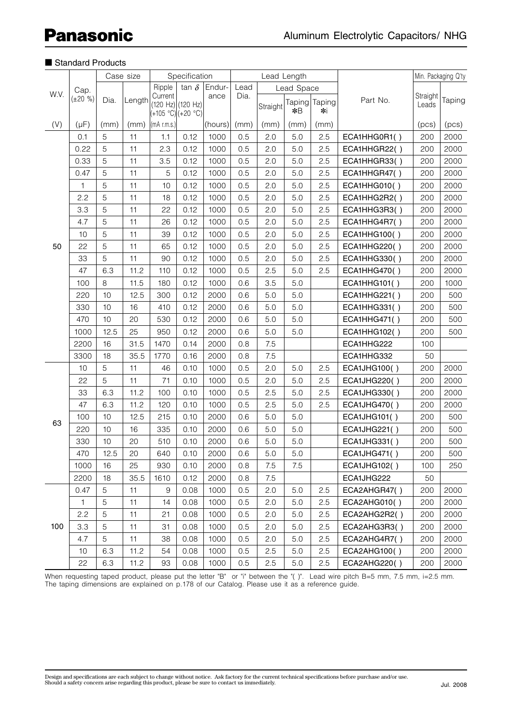|      |                |      | Case size |                                                       | Specification |         |      | Lead Length |                       |              |                     | Min. Packaging Q'ty |        |
|------|----------------|------|-----------|-------------------------------------------------------|---------------|---------|------|-------------|-----------------------|--------------|---------------------|---------------------|--------|
|      | Cap.           |      |           | Ripple                                                | tan $\delta$  | Endur-  | Lead |             | Lead Space            |              |                     |                     |        |
| W.V. | $(\pm 20, % )$ | Dia. | Length    | Current<br>$(120 Hz)$ (120 Hz)<br>$(+105 °C)(+20 °C)$ |               | ance    | Dia. | Straight    | <b>Taping</b><br>$*B$ | Taping<br>∗i | Part No.            | Straight<br>Leads   | Taping |
| (V)  | $(\mu F)$      | (mm) | (mm)      | (mA r.m.s.)                                           |               | (hours) | (mm) | (mm)        | (mm)                  | (mm)         |                     | (pcs)               | (pcs)  |
|      | 0.1            | 5    | 11        | 1.1                                                   | 0.12          | 1000    | 0.5  | 2.0         | 5.0                   | 2.5          | ECA1HHG0R1()        | 200                 | 2000   |
|      | 0.22           | 5    | 11        | 2.3                                                   | 0.12          | 1000    | 0.5  | 2.0         | 5.0                   | 2.5          | ECA1HHGR22()        | 200                 | 2000   |
|      | 0.33           | 5    | 11        | 3.5                                                   | 0.12          | 1000    | 0.5  | 2.0         | 5.0                   | 2.5          | ECA1HHGR33()        | 200                 | 2000   |
|      | 0.47           | 5    | 11        | 5                                                     | 0.12          | 1000    | 0.5  | 2.0         | 5.0                   | 2.5          | ECA1HHGR47()        | 200                 | 2000   |
|      | 1              | 5    | 11        | 10                                                    | 0.12          | 1000    | 0.5  | 2.0         | 5.0                   | 2.5          | ECA1HHG010()        | 200                 | 2000   |
|      | 2.2            | 5    | 11        | 18                                                    | 0.12          | 1000    | 0.5  | 2.0         | 5.0                   | 2.5          | ECA1HHG2R2()        | 200                 | 2000   |
|      | 3.3            | 5    | 11        | 22                                                    | 0.12          | 1000    | 0.5  | 2.0         | 5.0                   | 2.5          | ECA1HHG3R3()        | 200                 | 2000   |
|      | 4.7            | 5    | 11        | 26                                                    | 0.12          | 1000    | 0.5  | 2.0         | 5.0                   | 2.5          | ECA1HHG4R7()        | 200                 | 2000   |
|      | 10             | 5    | 11        | 39                                                    | 0.12          | 1000    | 0.5  | 2.0         | 5.0                   | 2.5          | <b>ECA1HHG100()</b> | 200                 | 2000   |
| 50   | 22             | 5    | 11        | 65                                                    | 0.12          | 1000    | 0.5  | 2.0         | 5.0                   | 2.5          | ECA1HHG220()        | 200                 | 2000   |
|      | 33             | 5    | 11        | 90                                                    | 0.12          | 1000    | 0.5  | 2.0         | 5.0                   | 2.5          | ECA1HHG330()        | 200                 | 2000   |
|      | 47             | 6.3  | 11.2      | 110                                                   | 0.12          | 1000    | 0.5  | 2.5         | 5.0                   | 2.5          | ECA1HHG470()        | 200                 | 2000   |
|      | 100            | 8    | 11.5      | 180                                                   | 0.12          | 1000    | 0.6  | 3.5         | 5.0                   |              | ECA1HHG101()        | 200                 | 1000   |
|      | 220            | 10   | 12.5      | 300                                                   | 0.12          | 2000    | 0.6  | 5.0         | 5.0                   |              | <b>ECA1HHG221()</b> | 200                 | 500    |
|      | 330            | 10   | 16        | 410                                                   | 0.12          | 2000    | 0.6  | 5.0         | 5.0                   |              | ECA1HHG331()        | 200                 | 500    |
|      | 470            | 10   | 20        | 530                                                   | 0.12          | 2000    | 0.6  | 5.0         | 5.0                   |              | <b>ECA1HHG471()</b> | 200                 | 500    |
|      | 1000           | 12.5 | 25        | 950                                                   | 0.12          | 2000    | 0.6  | 5.0         | 5.0                   |              | ECA1HHG102()        | 200                 | 500    |
|      | 2200           | 16   | 31.5      | 1470                                                  | 0.14          | 2000    | 0.8  | 7.5         |                       |              | ECA1HHG222          | 100                 |        |
|      | 3300           | 18   | 35.5      | 1770                                                  | 0.16          | 2000    | 0.8  | 7.5         |                       |              | ECA1HHG332          | 50                  |        |
|      | 10             | 5    | 11        | 46                                                    | 0.10          | 1000    | 0.5  | 2.0         | 5.0                   | 2.5          | ECA1JHG100()        | 200                 | 2000   |
|      | 22             | 5    | 11        | 71                                                    | 0.10          | 1000    | 0.5  | 2.0         | 5.0                   | 2.5          | ECA1JHG220()        | 200                 | 2000   |
|      | 33             | 6.3  | 11.2      | 100                                                   | 0.10          | 1000    | 0.5  | 2.5         | 5.0                   | 2.5          | ECA1JHG330()        | 200                 | 2000   |
|      | 47             | 6.3  | 11.2      | 120                                                   | 0.10          | 1000    | 0.5  | 2.5         | 5.0                   | 2.5          | ECA1JHG470()        | 200                 | 2000   |
|      | 100            | 10   | 12.5      | 215                                                   | 0.10          | 2000    | 0.6  | 5.0         | 5.0                   |              | <b>ECA1JHG101()</b> | 200                 | 500    |
| 63   | 220            | 10   | 16        | 335                                                   | 0.10          | 2000    | 0.6  | 5.0         | 5.0                   |              | <b>ECA1JHG221()</b> | 200                 | 500    |
|      | 330            | 10   | 20        | 510                                                   | 0.10          | 2000    | 0.6  | 5.0         | 5.0                   |              | <b>ECA1JHG331()</b> | 200                 | 500    |
|      | 470            | 12.5 | 20        | 640                                                   | 0.10          | 2000    | 0.6  | 5.0         | 5.0                   |              | <b>ECA1JHG471()</b> | 200                 | 500    |
|      | 1000           | 16   | 25        | 930                                                   | 0.10          | 2000    | 0.8  | 7.5         | 7.5                   |              | <b>ECA1JHG102()</b> | 100                 | 250    |
|      | 2200           | 18   | 35.5      | 1610                                                  | 0.12          | 2000    | 0.8  | 7.5         |                       |              | ECA1JHG222          | 50                  |        |
|      | 0.47           | 5    | 11        | 9                                                     | 0.08          | 1000    | 0.5  | 2.0         | 5.0                   | 2.5          | ECA2AHGR47()        | 200                 | 2000   |
|      | $\mathbf{1}$   | 5    | 11        | 14                                                    | 0.08          | 1000    | 0.5  | 2.0         | 5.0                   | 2.5          | ECA2AHG010()        | 200                 | 2000   |
| 100  | 2.2            | 5    | 11        | 21                                                    | 0.08          | 1000    | 0.5  | 2.0         | 5.0                   | 2.5          | ECA2AHG2R2()        | 200                 | 2000   |
|      | 3.3            | 5    | 11        | 31                                                    | 0.08          | 1000    | 0.5  | 2.0         | 5.0                   | 2.5          | ECA2AHG3R3()        | 200                 | 2000   |
|      | 4.7            | 5    | 11        | 38                                                    | 0.08          | 1000    | 0.5  | 2.0         | 5.0                   | 2.5          | ECA2AHG4R7()        | 200                 | 2000   |
|      | 10             | 6.3  | 11.2      | 54                                                    | 0.08          | 1000    | 0.5  | 2.5         | 5.0                   | 2.5          | ECA2AHG100()        | 200                 | 2000   |
|      | 22             | 6.3  | 11.2      | 93                                                    | 0.08          | 1000    | 0.5  | 2.5         | 5.0                   | 2.5          | ECA2AHG220()        | 200                 | 2000   |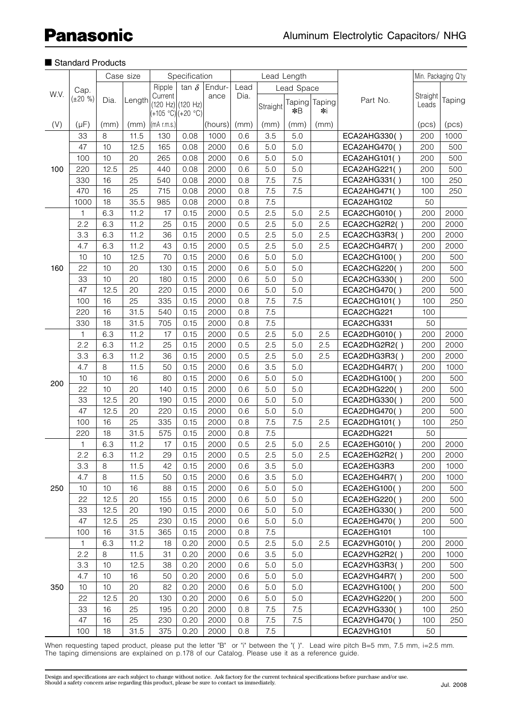|      |                        |         | Case size | Specification                     |                   |         |      | Lead Length |            |            |              | Min. Packaging Q'ty |        |
|------|------------------------|---------|-----------|-----------------------------------|-------------------|---------|------|-------------|------------|------------|--------------|---------------------|--------|
|      |                        |         |           | Ripple                            | tan $\delta$      | Endur-  | Lead |             | Lead Space |            |              |                     |        |
| W.V. | Cap.<br>$(\pm 20, % )$ | Dia.    | Length    | Current                           | (120 Hz) (120 Hz) | ance    | Dia. | Straight    | Taping     | Taping     | Part No.     | Straight<br>Leads   | Taping |
| (V)  | $(\mu F)$              | (mm)    | (mm)      | (+105 °C) (+20 °C)<br>(mA r.m.s.) |                   | (hours) | (mm) | (mm)        | *B<br>(mm) | ∗i<br>(mm) |              | (pcs)               | (pcs)  |
|      | 33                     | 8       | 11.5      | 130                               | 0.08              | 1000    | 0.6  | 3.5         | 5.0        |            | ECA2AHG330() | 200                 | 1000   |
|      | 47                     | 10      | 12.5      | 165                               | 0.08              | 2000    | 0.6  | 5.0         | 5.0        |            | ECA2AHG470() | 200                 | 500    |
|      | 100                    | 10      | 20        | 265                               | 0.08              | 2000    | 0.6  | 5.0         | 5.0        |            | ECA2AHG101() | 200                 | 500    |
| 100  | 220                    | 12.5    | 25        | 440                               | 0.08              | 2000    | 0.6  | 5.0         | 5.0        |            | ECA2AHG221() | 200                 | 500    |
|      | 330                    | 16      | 25        | 540                               | 0.08              | 2000    | 0.8  | 7.5         | 7.5        |            | ECA2AHG331() | 100                 | 250    |
|      | 470                    | 16      | 25        | 715                               | 0.08              | 2000    | 0.8  | 7.5         | 7.5        |            | ECA2AHG471() | 100                 | 250    |
|      | 1000                   | 18      | 35.5      | 985                               | 0.08              | 2000    | 0.8  | 7.5         |            |            | ECA2AHG102   | 50                  |        |
|      | 1                      | 6.3     | 11.2      | 17                                | 0.15              | 2000    | 0.5  | 2.5         | 5.0        | 2.5        | ECA2CHG010() | 200                 | 2000   |
|      | 2.2                    | 6.3     | 11.2      | 25                                | 0.15              | 2000    | 0.5  | 2.5         | 5.0        | 2.5        | ECA2CHG2R2() | 200                 | 2000   |
|      | 3.3                    | 6.3     | 11.2      | 36                                | 0.15              | 2000    | 0.5  | 2.5         | 5.0        | 2.5        | ECA2CHG3R3() | 200                 | 2000   |
|      | 4.7                    | 6.3     | 11.2      | 43                                | 0.15              | 2000    | 0.5  | 2.5         | 5.0        | 2.5        | ECA2CHG4R7() | 200                 | 2000   |
|      | 10                     | 10      | 12.5      | 70                                | 0.15              | 2000    | 0.6  | 5.0         | 5.0        |            | ECA2CHG100() | 200                 | 500    |
|      |                        |         |           |                                   |                   |         |      |             |            |            |              |                     |        |
| 160  | 22                     | 10      | 20        | 130                               | 0.15              | 2000    | 0.6  | 5.0         | 5.0        |            | ECA2CHG220() | 200                 | 500    |
|      | 33                     | 10      | 20        | 180                               | 0.15              | 2000    | 0.6  | 5.0         | 5.0        |            | ECA2CHG330() | 200                 | 500    |
|      | 47                     | 12.5    | 20        | 220                               | 0.15              | 2000    | 0.6  | 5.0         | 5.0        |            | ECA2CHG470() | 200                 | 500    |
|      | 100                    | 16      | 25        | 335                               | 0.15              | 2000    | 0.8  | 7.5         | 7.5        |            | ECA2CHG101() | 100                 | 250    |
|      | 220                    | 16      | 31.5      | 540                               | 0.15              | 2000    | 0.8  | 7.5         |            |            | ECA2CHG221   | 100                 |        |
|      | 330                    | 18      | 31.5      | 705                               | 0.15              | 2000    | 0.8  | 7.5         |            |            | ECA2CHG331   | 50                  |        |
|      | 1                      | 6.3     | 11.2      | 17                                | 0.15              | 2000    | 0.5  | 2.5         | 5.0        | 2.5        | ECA2DHG010() | 200                 | 2000   |
|      | 2.2                    | 6.3     | 11.2      | 25                                | 0.15              | 2000    | 0.5  | 2.5         | 5.0        | 2.5        | ECA2DHG2R2() | 200                 | 2000   |
|      | 3.3                    | 6.3     | 11.2      | 36                                | 0.15              | 2000    | 0.5  | 2.5         | 5.0        | 2.5        | ECA2DHG3R3() | 200                 | 2000   |
|      | 4.7                    | $\,8\,$ | 11.5      | 50                                | 0.15              | 2000    | 0.6  | 3.5         | 5.0        |            | ECA2DHG4R7() | 200                 | 1000   |
| 200  | 10                     | 10      | 16        | 80                                | 0.15              | 2000    | 0.6  | 5.0         | 5.0        |            | ECA2DHG100() | 200                 | 500    |
|      | 22                     | 10      | 20        | 140                               | 0.15              | 2000    | 0.6  | 5.0         | 5.0        |            | ECA2DHG220() | 200                 | 500    |
|      | 33                     | 12.5    | 20        | 190                               | 0.15              | 2000    | 0.6  | 5.0         | 5.0        |            | ECA2DHG330() | 200                 | 500    |
|      | 47                     | 12.5    | 20        | 220                               | 0.15              | 2000    | 0.6  | 5.0         | 5.0        |            | ECA2DHG470() | 200                 | 500    |
|      | 100                    | 16      | 25        | 335                               | 0.15              | 2000    | 0.8  | 7.5         | 7.5        | 2.5        | ECA2DHG101() | 100                 | 250    |
|      | 220                    | 18      | 31.5      | 575                               | 0.15              | 2000    | 0.8  | 7.5         |            |            | ECA2DHG221   | 50                  |        |
|      | 1                      | 6.3     | 11.2      | 17                                | 0.15              | 2000    | 0.5  | 2.5         | 5.0        | 2.5        | ECA2EHG010() | 200                 | 2000   |
|      | 2.2                    | 6.3     | 11.2      | 29                                | 0.15              | 2000    | 0.5  | 2.5         | 5.0        | 2.5        | ECA2EHG2R2() | 200                 | 2000   |
|      | 3.3                    | 8       | 11.5      | 42                                | 0.15              | 2000    | 0.6  | 3.5         | 5.0        |            | ECA2EHG3R3   | 200                 | 1000   |
|      | 4.7                    | $\,8\,$ | 11.5      | 50                                | 0.15              | 2000    | 0.6  | 3.5         | 5.0        |            | ECA2EHG4R7() | 200                 | 1000   |
| 250  | 10                     | 10      | 16        | 88                                | 0.15              | 2000    | 0.6  | 5.0         | 5.0        |            | ECA2EHG100() | 200                 | 500    |
|      | 22                     | 12.5    | 20        | 155                               | 0.15              | 2000    | 0.6  | 5.0         | 5.0        |            | ECA2EHG220() | 200                 | 500    |
|      | 33                     | 12.5    | 20        | 190                               | 0.15              | 2000    | 0.6  | 5.0         | 5.0        |            | ECA2EHG330() | 200                 | 500    |
|      | 47                     | 12.5    | 25        | 230                               | 0.15              | 2000    | 0.6  | 5.0         | 5.0        |            | ECA2EHG470() | 200                 | 500    |
|      | 100                    | 16      | 31.5      | 365                               | 0.15              | 2000    | 0.8  | 7.5         |            |            | ECA2EHG101   | 100                 |        |
|      | $\mathbf{1}$           | 6.3     | 11.2      | 18                                | 0.20              | 2000    | 0.5  | 2.5         | 5.0        | 2.5        | ECA2VHG010() | 200                 | 2000   |
|      | 2.2                    | $\,8\,$ | 11.5      | 31                                | 0.20              | 2000    | 0.6  | 3.5         | 5.0        |            | ECA2VHG2R2() | 200                 | 1000   |
|      | 3.3                    | 10      | 12.5      | 38                                | 0.20              | 2000    | 0.6  | 5.0         | 5.0        |            | ECA2VHG3R3() | 200                 | 500    |
|      | 4.7                    | 10      | 16        | 50                                | 0.20              | 2000    | 0.6  | 5.0         | 5.0        |            | ECA2VHG4R7() | 200                 | 500    |
| 350  | 10                     | 10      | 20        | 82                                | 0.20              | 2000    | 0.6  | 5.0         | 5.0        |            | ECA2VHG100() | 200                 | 500    |
|      | 22                     | 12.5    | 20        | 130                               | 0.20              | 2000    | 0.6  | 5.0         | 5.0        |            | ECA2VHG220() | 200                 | 500    |
|      | 33                     | 16      | 25        | 195                               | 0.20              | 2000    | 0.8  | 7.5         | 7.5        |            | ECA2VHG330() | 100                 | 250    |
|      | 47                     | 16      | 25        | 230                               | 0.20              | 2000    | 0.8  | 7.5         | 7.5        |            | ECA2VHG470() | 100                 | 250    |
|      | 100                    | 18      | 31.5      | 375                               | 0.20              | 2000    | 0.8  | 7.5         |            |            | ECA2VHG101   | 50                  |        |